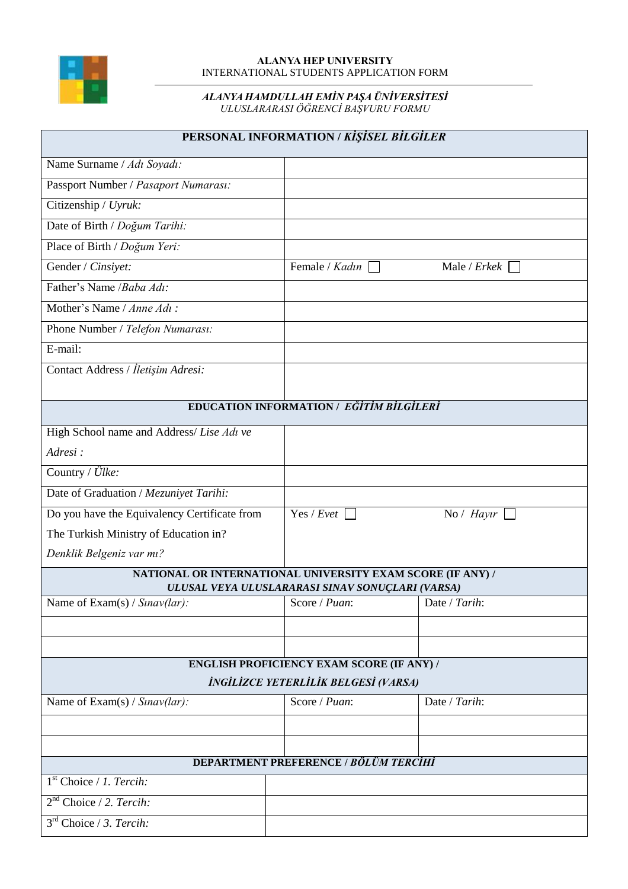

## **ALANYA HEP UNIVERSITY** INTERNATIONAL STUDENTS APPLICATION FORM

## *ALANYA HAMDULLAH EMİN PAŞA ÜNİVERSİTESİ* ULUSLARARASI OGRENCI BAŞVURU FORMU

| PERSONAL INFORMATION / KİŞİSEL BİLGİLER |  |
|-----------------------------------------|--|
|                                         |  |
|                                         |  |
|                                         |  |

| Name Surname / Adı Soyadı:                                                                                     |                                                  |               |  |
|----------------------------------------------------------------------------------------------------------------|--------------------------------------------------|---------------|--|
| Passport Number / Pasaport Numarası:                                                                           |                                                  |               |  |
| Citizenship / Uyruk:                                                                                           |                                                  |               |  |
| Date of Birth / Doğum Tarihi:                                                                                  |                                                  |               |  |
| Place of Birth / Doğum Yeri:                                                                                   |                                                  |               |  |
| Gender / Cinsiyet:                                                                                             | Female / Kadın                                   | Male / Erkek  |  |
| Father's Name / Baha Adı:                                                                                      |                                                  |               |  |
| Mother's Name / Anne Adı:                                                                                      |                                                  |               |  |
| Phone Number / Telefon Numarası:                                                                               |                                                  |               |  |
| E-mail:                                                                                                        |                                                  |               |  |
| Contact Address / İletişim Adresi:                                                                             |                                                  |               |  |
|                                                                                                                |                                                  |               |  |
| EDUCATION INFORMATION / EĞİTİM BİLGİLERİ                                                                       |                                                  |               |  |
| High School name and Address/Lise Adı ve                                                                       |                                                  |               |  |
| Adresi:                                                                                                        |                                                  |               |  |
| Country / Ülke:                                                                                                |                                                  |               |  |
| Date of Graduation / Mezuniyet Tarihi:                                                                         |                                                  |               |  |
| Do you have the Equivalency Certificate from                                                                   | Yes / Evet                                       | No / Hayır    |  |
| The Turkish Ministry of Education in?                                                                          |                                                  |               |  |
| Denklik Belgeniz var mı?                                                                                       |                                                  |               |  |
| NATIONAL OR INTERNATIONAL UNIVERSITY EXAM SCORE (IF ANY) /<br>ULUSAL VEYA ULUSLARARASI SINAV SONUÇLARI (VARSA) |                                                  |               |  |
| Name of Exam(s) / Sinav(lar):                                                                                  | Score / Puan:                                    | Date / Tarih: |  |
|                                                                                                                |                                                  |               |  |
|                                                                                                                |                                                  |               |  |
|                                                                                                                | <b>ENGLISH PROFICIENCY EXAM SCORE (IF ANY) /</b> |               |  |
| İNGİLİZCE YETERLİLİK BELGESİ (VARSA)                                                                           |                                                  |               |  |
| Name of $\text{Exam}(s) / \text{S}$ <i>nav(lar)</i> :                                                          | Score / Puan:                                    | Date / Tarih: |  |
|                                                                                                                |                                                  |               |  |
|                                                                                                                |                                                  |               |  |
|                                                                                                                | <b>DEPARTMENT PREFERENCE / BÖLÜM TERCİHİ</b>     |               |  |
| 1 <sup>st</sup> Choice / 1. Tercih:                                                                            |                                                  |               |  |
| $2nd$ Choice / 2. Tercih:                                                                                      |                                                  |               |  |
| 3 <sup>rd</sup> Choice / 3. Tercih:                                                                            |                                                  |               |  |